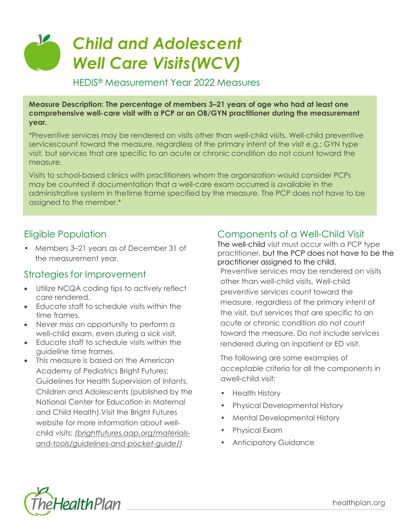# <u>V</u> *Child and Adolescent Well Care Visits(WCV)*

#### HEDIS® Measurement Year 2022 Measures

**Measure Description: The percentage of members 3–21 years of age who had at least one comprehensive well-care visit with a PCP or an OB/GYN practitioner during the measurement year.**

\*Preventive services may be rendered on visits other than well-child visits. Well-child preventive servicescount toward the measure, regardless of the primary intent of the visit e.g.: GYN type visit, but services that are specific to an acute or chronic condition do not count toward the measure.

Visits to school-based clinics with practitioners whom the organization would consider PCPs may be counted if documentation that a well-care exam occurred is available in the administrative system in thetime frame specified by the measure. The PCP does not have to be assigned to the member.\*

### Eligible Population

• Members 3–21 years as of December 31 of the measurement year.

#### Strategies for Improvement

- Utilize NCQA coding tips to actively reflect care rendered.
- Educate staff to schedule visits within the time frames.
- Never miss an opportunity to perform a well-child exam, even during a sick visit.
- Educate staff to schedule visits within the guideline time frames.
- This measure is based on the American Academy of Pediatrics Bright Futures: Guidelines for Health Supervision of Infants, Children and Adolescents (published by the National Center for Education in Maternal and Child Health).Visit the Bright Futures website for more information about wellchild visits: *[\(brightfutures.aap.org/materials](https://brightfutures.aap.org/materials-and-tools/guidelines-and-pocket-guide/)[and-tools/guidelines-and-pocket-guide/\)](https://brightfutures.aap.org/materials-and-tools/guidelines-and-pocket-guide/)*

### Components of a Well-Child Visit

The well-child visit must occur with a PCP type practitioner, but the PCP does not have to be the practitioner assigned to the child.

Preventive services may be rendered on visits other than well-child visits. Well-child preventive services count toward the measure, regardless of the primary intent of the visit, but services that are specific to an acute or chronic condition do not count toward the measure. Do not include services rendered during an inpatient or ED visit.

The following are some examples of acceptable criteria for all the components in awell-child visit:

- Health History
- Physical Developmental History
- Mental Developmental History
- Physical Exam
- Anticipatory Guidance